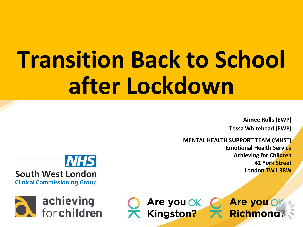# **Transition Back to School after Lockdown**

**Aimee Rolls (EWP) Tessa Whitehead (EWP)**

**MENTAL HEALTH SUPPORT TEAM (MHST) Emotional Health Service Achieving for Children 42 York Street London TW1 3BW**





Are you OK Kingston?

Are you Ok Richmona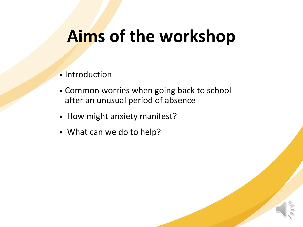#### **Aims of the workshop**

- Introduction
- Common worries when going back to school after an unusual period of absence
- How might anxiety manifest?
- What can we do to help?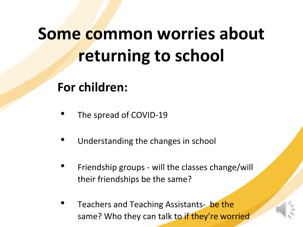## **Some common worries about returning to school**

**For children:**

- The spread of COVID-19
- Understanding the changes in school
- Friendship groups will the classes change/will their friendships be the same?
- Teachers and Teaching Assistants-be the same? Who they can talk to if they're worried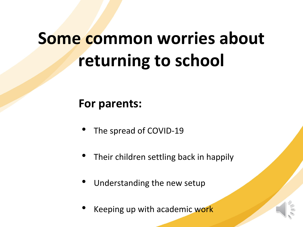## **Some common worries about returning to school**

#### **For parents:**

- The spread of COVID-19
- Their children settling back in happily
- Understanding the new setup
- Keeping up with academic work

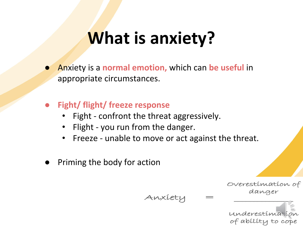#### **What is anxiety?**

- Anxiety is a **normal emotion,** which can **be useful** in appropriate circumstances.
- **● Fight/ flight/ freeze response**
	- Fight confront the threat aggressively.
	- Flight you run from the danger.
	- Freeze unable to move or act against the threat.

Anxiety

Priming the body for action

Overestimation of danger

underestima is of ability to cope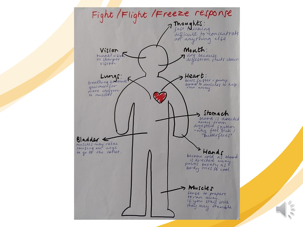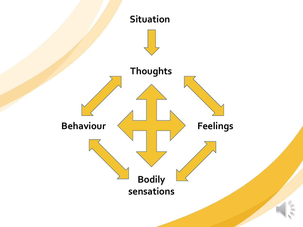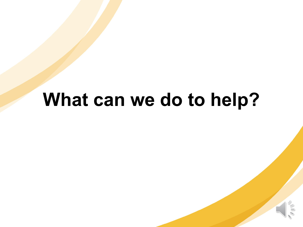#### **What can we do to help?**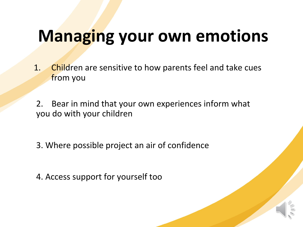#### **Managing your own emotions**

1. Children are sensitive to how parents feel and take cues from you

2. Bear in mind that your own experiences inform what you do with your children

3. Where possible project an air of confidence

4. Access support for yourself too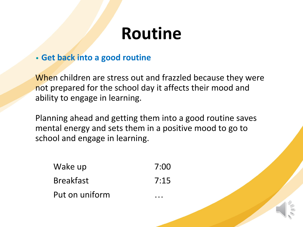#### **Routine**

#### **• Get back into a good routine**

When children are stress out and frazzled because they were not prepared for the school day it affects their mood and ability to engage in learning.

Planning ahead and getting them into a good routine saves mental energy and sets them in a positive mood to go to school and engage in learning.

Wake up 7:00 Breakfast 7:15 Put on uniform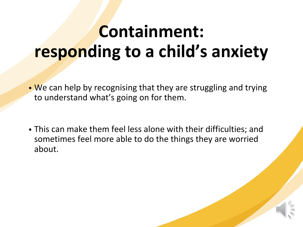## **Containment: responding to a child's anxiety**

- We can help by recognising that they are struggling and trying to understand what's going on for them.
- This can make them feel less alone with their difficulties; and sometimes feel more able to do the things they are worried about.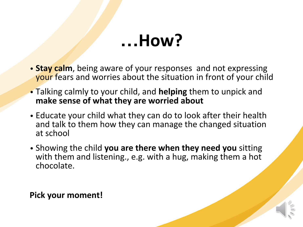#### **…How?**

- **• Stay calm**, being aware of your responses and not expressing your fears and worries about the situation in front of your child
- Talking calmly to your child, and **helping** them to unpick and **make sense of what they are worried about**
- Educate your child what they can do to look after their health and talk to them how they can manage the changed situation at school
- Showing the child **you are there when they need you** sitting with them and listening., e.g. with a hug, making them a hot chocolate.

**Pick your moment!**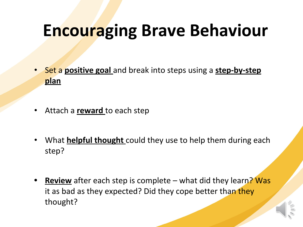## **Encouraging Brave Behaviour**

- Set a **positive goal** and break into steps using a **step-by-step plan**
- Attach a **reward** to each step
- What **helpful thought** could they use to help them during each step?
- **• Review** after each step is complete what did they learn? Was it as bad as they expected? Did they cope better than they thought?

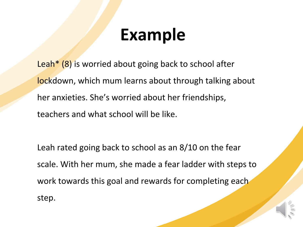#### **Example**

Leah<sup>\*</sup> (8) is worried about going back to school after lockdown, which mum learns about through talking about her anxieties. She's worried about her friendships, teachers and what school will be like.

Leah rated going back to school as an 8/10 on the fear scale. With her mum, she made a fear ladder with steps to work towards this goal and rewards for completing each step.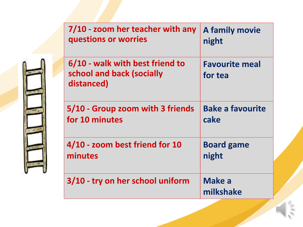|  | 7/10 - zoom her teacher with any<br>questions or worries                   | A family movie<br>night          |  |
|--|----------------------------------------------------------------------------|----------------------------------|--|
|  | 6/10 - walk with best friend to<br>school and back (socially<br>distanced) | <b>Favourite meal</b><br>for tea |  |
|  | 5/10 - Group zoom with 3 friends<br>for 10 minutes                         | <b>Bake a favourite</b><br>cake  |  |
|  | 4/10 - zoom best friend for 10<br>minutes                                  | <b>Board game</b><br>night       |  |
|  | 3/10 - try on her school uniform                                           | Make a<br>milkshake              |  |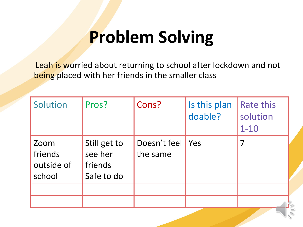## **Problem Solving**

Leah is worried about returning to school after lockdown and not being placed with her friends in the smaller class

| Solution                                | Pros?                                            | Cons?                    | Is this plan<br>doable? | Rate this<br>solution<br>$1 - 10$ |  |
|-----------------------------------------|--------------------------------------------------|--------------------------|-------------------------|-----------------------------------|--|
| Zoom<br>friends<br>outside of<br>school | Still get to<br>see her<br>friends<br>Safe to do | Doesn't feel<br>the same | Yes                     | 7                                 |  |
|                                         |                                                  |                          |                         |                                   |  |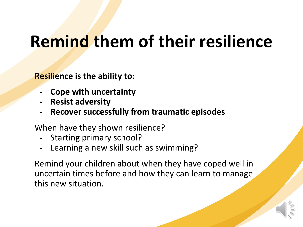## **Remind them of their resilience**

**Resilience is the ability to:**

- **• Cope with uncertainty**
- **• Resist adversity**
- **• Recover successfully from traumatic episodes**

When have they shown resilience?

- Starting primary school?
- Learning a new skill such as swimming?

Remind your children about when they have coped well in uncertain times before and how they can learn to manage this new situation.

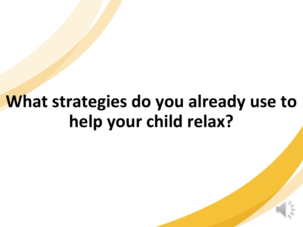## **What strategies do you already use to help your child relax?**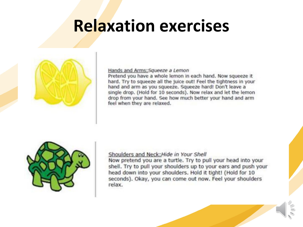#### **Relaxation exercises**



#### Hands and Arms: Squeeze a Lemon

Pretend you have a whole lemon in each hand. Now squeeze it hard. Try to squeeze all the juice out! Feel the tightness in your hand and arm as you squeeze. Squeeze hard! Don't leave a single drop. (Hold for 10 seconds). Now relax and let the lemon drop from your hand. See how much better your hand and arm feel when they are relaxed.



#### Shoulders and Neck: Hide in Your Shell

Now pretend you are a turtle. Try to pull your head into your shell. Try to pull your shoulders up to your ears and push your head down into your shoulders. Hold it tight! (Hold for 10 seconds). Okay, you can come out now. Feel your shoulders relax.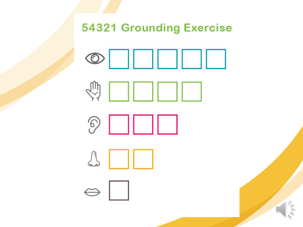**54321 Grounding Exercise** 









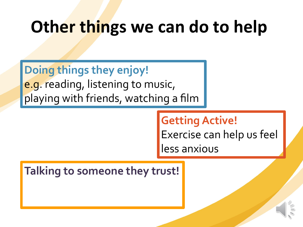#### **Other things we can do to help**

**Doing things they enjoy!**

e.g. reading, listening to music, playing with friends, watching a film

#### **Getting Active!**

Exercise can help us feel

less anxious

#### **Talking to someone they trust!**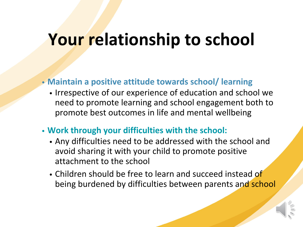#### **Your relationship to school**

#### **• Maintain a positive attitude towards school/ learning**

- Irrespective of our experience of education and school we need to promote learning and school engagement both to promote best outcomes in life and mental wellbeing
- **• Work through your difficulties with the school:**
	- Any difficulties need to be addressed with the school and avoid sharing it with your child to promote positive attachment to the school
	- Children should be free to learn and succeed instead of being burdened by difficulties between parents and school

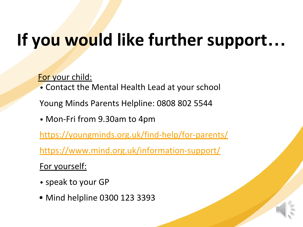## **If you would like further support…**

For your child:

• Contact the Mental Health Lead at your school

Young Minds Parents Helpline: 0808 802 5544

• Mon-Fri from 9.30am to 4pm

<https://youngminds.org.uk/find-help/for-parents/>

<https://www.mind.org.uk/information-support/>

For yourself:

- speak to your GP
- Mind helpline 0300 123 3393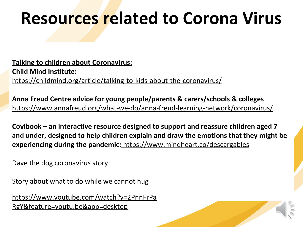#### **Resources related to Corona Virus**

**Talking to children about Coronavirus: Child Mind Institute:** <https://childmind.org/article/talking-to-kids-about-the-coronavirus/>

**Anna Freud Centre advice for young people/parents & carers/schools & colleges** <https://www.annafreud.org/what-we-do/anna-freud-learning-network/coronavirus/>

**Covibook – an interactive resource designed to support and reassure children aged 7 and under, designed to help children explain and draw the emotions that they might be experiencing during the pandemic:** [https://www.mindheart.co/descargables](http://cdc.mobilize.io/links?lid=KGSPTL-VZUIxBBXTyUc36Q&token=VB6Gu3hBJAh1JLZm4wTrqg&url=https%3A%2F%2Fwww.mindheart.co%2Fdescargables)

Dave the dog coronavirus story

Story about what to do while we cannot hug

[https://www.youtube.com/watch?v=2PnnFrPa](https://www.youtube.com/watch?v=2PnnFrPaRgY&feature=youtu.be&app=desktop) [RgY&feature=youtu.be&app=desktop](https://www.youtube.com/watch?v=2PnnFrPaRgY&feature=youtu.be&app=desktop)